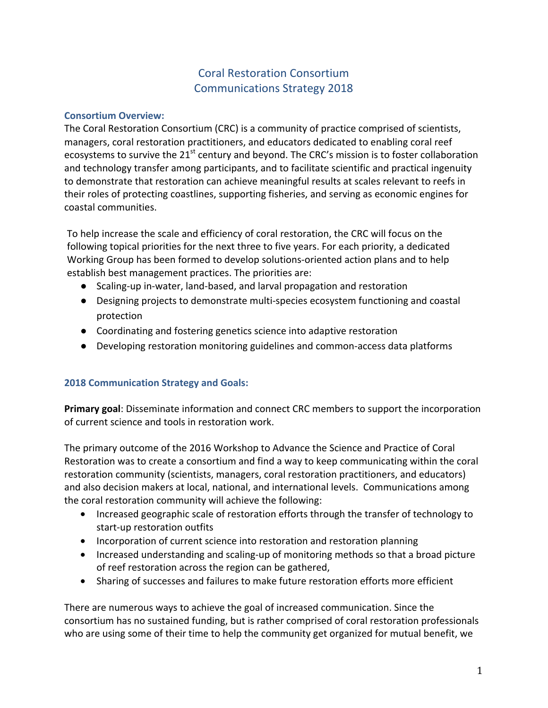# Coral Restoration Consortium Communications Strategy 2018

### **Consortium Overview:**

The Coral Restoration Consortium (CRC) is a community of practice comprised of scientists, managers, coral restoration practitioners, and educators dedicated to enabling coral reef ecosystems to survive the  $21^{st}$  century and beyond. The CRC's mission is to foster collaboration and technology transfer among participants, and to facilitate scientific and practical ingenuity to demonstrate that restoration can achieve meaningful results at scales relevant to reefs in their roles of protecting coastlines, supporting fisheries, and serving as economic engines for coastal communities.

To help increase the scale and efficiency of coral restoration, the CRC will focus on the following topical priorities for the next three to five years. For each priority, a dedicated Working Group has been formed to develop solutions-oriented action plans and to help establish best management practices. The priorities are:

- Scaling-up in-water, land-based, and larval propagation and restoration
- Designing projects to demonstrate multi-species ecosystem functioning and coastal protection
- Coordinating and fostering genetics science into adaptive restoration
- Developing restoration monitoring guidelines and common-access data platforms

### **2018 Communication Strategy and Goals:**

**Primary goal:** Disseminate information and connect CRC members to support the incorporation of current science and tools in restoration work.

The primary outcome of the 2016 Workshop to Advance the Science and Practice of Coral Restoration was to create a consortium and find a way to keep communicating within the coral restoration community (scientists, managers, coral restoration practitioners, and educators) and also decision makers at local, national, and international levels. Communications among the coral restoration community will achieve the following:

- Increased geographic scale of restoration efforts through the transfer of technology to start-up restoration outfits
- Incorporation of current science into restoration and restoration planning
- Increased understanding and scaling-up of monitoring methods so that a broad picture of reef restoration across the region can be gathered,
- Sharing of successes and failures to make future restoration efforts more efficient

There are numerous ways to achieve the goal of increased communication. Since the consortium has no sustained funding, but is rather comprised of coral restoration professionals who are using some of their time to help the community get organized for mutual benefit, we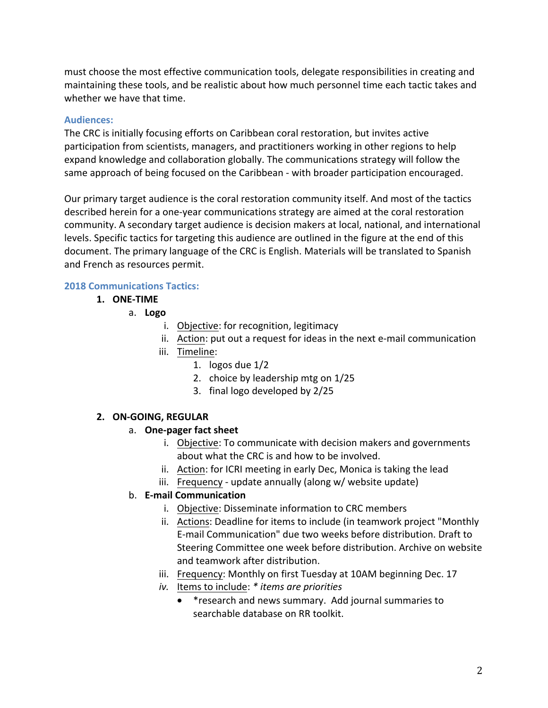must choose the most effective communication tools, delegate responsibilities in creating and maintaining these tools, and be realistic about how much personnel time each tactic takes and whether we have that time.

#### **Audiences:**

The CRC is initially focusing efforts on Caribbean coral restoration, but invites active participation from scientists, managers, and practitioners working in other regions to help expand knowledge and collaboration globally. The communications strategy will follow the same approach of being focused on the Caribbean - with broader participation encouraged.

Our primary target audience is the coral restoration community itself. And most of the tactics described herein for a one-year communications strategy are aimed at the coral restoration community. A secondary target audience is decision makers at local, national, and international levels. Specific tactics for targeting this audience are outlined in the figure at the end of this document. The primary language of the CRC is English. Materials will be translated to Spanish and French as resources permit.

#### **2018 Communications Tactics:**

#### **1. ONE-TIME**

- a. **Logo**
	- i. Objective: for recognition, legitimacy
	- ii. Action: put out a request for ideas in the next e-mail communication
	- iii. Timeline:
		- 1. logos due  $1/2$
		- 2. choice by leadership mtg on 1/25
		- 3. final logo developed by 2/25

#### **2. ON-GOING, REGULAR**

#### a. One-pager fact sheet

- i. Objective: To communicate with decision makers and governments about what the CRC is and how to be involved.
- ii. Action: for ICRI meeting in early Dec, Monica is taking the lead
- iii. Frequency update annually (along w/ website update)

#### b. **E-mail Communication**

- i. Objective: Disseminate information to CRC members
- ii. Actions: Deadline for items to include (in teamwork project "Monthly E-mail Communication" due two weeks before distribution. Draft to Steering Committee one week before distribution. Archive on website and teamwork after distribution.
- iii. Frequency: Monthly on first Tuesday at 10AM beginning Dec. 17
- *iv.* Items to include: \* *items are priorities* 
	- \* research and news summary. Add journal summaries to searchable database on RR toolkit.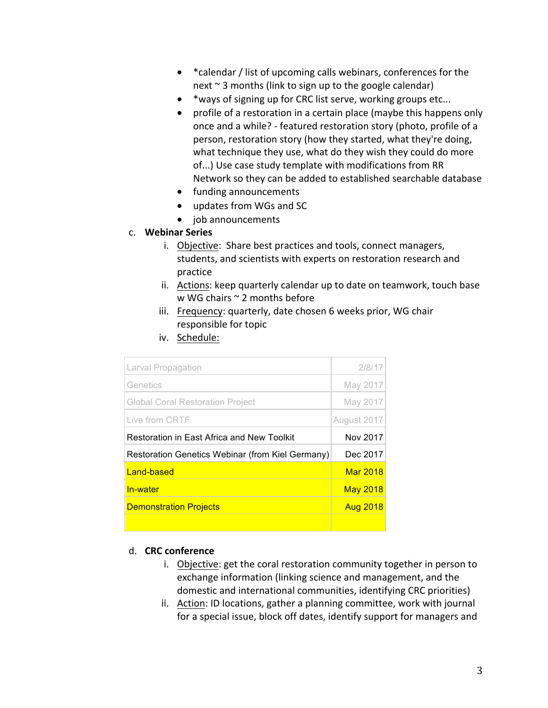- \* calendar / list of upcoming calls webinars, conferences for the next  $\sim$  3 months (link to sign up to the google calendar)
- \*ways of signing up for CRC list serve, working groups etc...
- profile of a restoration in a certain place (maybe this happens only once and a while? - featured restoration story (photo, profile of a person, restoration story (how they started, what they're doing, what technique they use, what do they wish they could do more of...) Use case study template with modifications from RR Network so they can be added to established searchable database
- funding announcements
- updates from WGs and SC
- iob announcements

#### c. **Webinar Series**

- i. Objective: Share best practices and tools, connect managers, students, and scientists with experts on restoration research and practice
- ii. Actions: keep quarterly calendar up to date on teamwork, touch base w WG chairs  $\sim$  2 months before
- iii. Frequency: quarterly, date chosen 6 weeks prior, WG chair responsible for topic
- iv. Schedule:

| Larval Propagation                               | 2/8/17          |
|--------------------------------------------------|-----------------|
| Genetics                                         | May 2017        |
| <b>Global Coral Restoration Project</b>          | May 2017        |
| Live from CRTF                                   | August 2017     |
| Restoration in East Africa and New Toolkit       | Nov 2017        |
| Restoration Genetics Webinar (from Kiel Germany) | Dec 2017        |
| Land-based                                       | Mar 2018        |
| In-water                                         | <b>May 2018</b> |
| <b>Demonstration Projects</b>                    | <b>Aug 2018</b> |
|                                                  |                 |

### d. **CRC** conference

- i. Objective: get the coral restoration community together in person to exchange information (linking science and management, and the domestic and international communities, identifying CRC priorities)
- ii. Action: ID locations, gather a planning committee, work with journal for a special issue, block off dates, identify support for managers and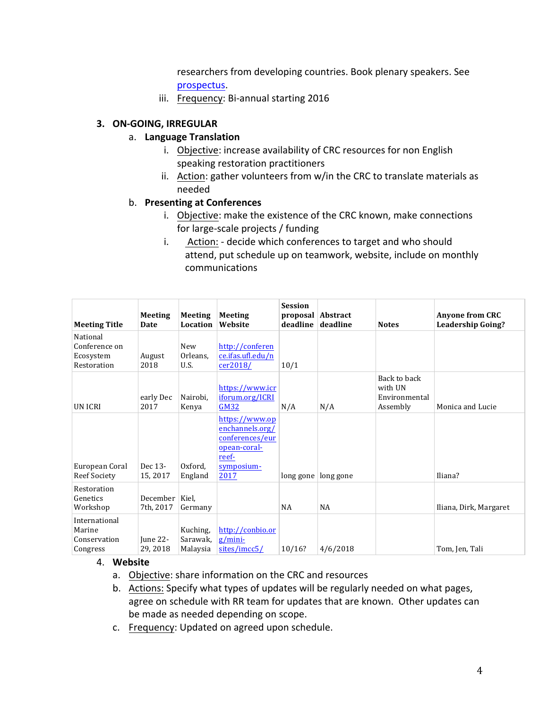researchers from developing countries. Book plenary speakers. See prospectus. 

iii. Frequency: Bi-annual starting 2016

#### **3. ON-GOING, IRREGULAR**

#### a. **Language Translation**

- i. Objective: increase availability of CRC resources for non English speaking restoration practitioners
- ii. Action: gather volunteers from w/in the CRC to translate materials as needed

#### b. **Presenting at Conferences**

- i. Objective: make the existence of the CRC known, make connections for large-scale projects / funding
- i. Action: decide which conferences to target and who should attend, put schedule up on teamwork, website, include on monthly communications

| <b>Meeting Title</b>                    | <b>Meeting</b><br>Date | <b>Meeting</b><br>Location | <b>Meeting</b><br>Website                                                                   | <b>Session</b><br>proposal Abstract<br>deadline | deadline  | <b>Notes</b>                             | <b>Anyone from CRC</b><br><b>Leadership Going?</b> |
|-----------------------------------------|------------------------|----------------------------|---------------------------------------------------------------------------------------------|-------------------------------------------------|-----------|------------------------------------------|----------------------------------------------------|
| National                                |                        |                            |                                                                                             |                                                 |           |                                          |                                                    |
| Conference on                           |                        | <b>New</b>                 | http://conferen                                                                             |                                                 |           |                                          |                                                    |
| Ecosystem                               | August                 | Orleans,                   | ce.ifas.ufl.edu/n                                                                           |                                                 |           |                                          |                                                    |
| Restoration                             | 2018                   | U.S.                       | cer2018/                                                                                    | 10/1                                            |           |                                          |                                                    |
|                                         | early Dec              | Nairobi.                   | https://www.icr<br>iforum.org/ICRI                                                          |                                                 |           | Back to back<br>with UN<br>Environmental |                                                    |
| UN ICRI                                 | 2017                   | Kenya                      | GM32                                                                                        | N/A                                             | N/A       | Assembly                                 | Monica and Lucie                                   |
| European Coral                          | Dec 13-                | Oxford,                    | https://www.op<br>enchannels.org/<br>conferences/eur<br>opean-coral-<br>reef-<br>symposium- |                                                 |           |                                          |                                                    |
| <b>Reef Society</b>                     | 15, 2017               | England                    | 2017                                                                                        | long gone                                       | long gone |                                          | Iliana?                                            |
| Restoration<br>Genetics<br>Workshop     | December<br>7th, 2017  | Kiel,<br>Germany           |                                                                                             | NA                                              | <b>NA</b> |                                          | Iliana, Dirk, Margaret                             |
| International<br>Marine<br>Conservation | June $22-$             | Kuching,<br>Sarawak.       | http://conbio.or<br>g/min                                                                   |                                                 |           |                                          |                                                    |
| Congress                                | 29, 2018               | Malaysia                   | sites/imcc5/                                                                                | 10/16?                                          | 4/6/2018  |                                          | Tom, Jen, Tali                                     |

### 4. **Website**

- a. Objective: share information on the CRC and resources
- b. Actions: Specify what types of updates will be regularly needed on what pages, agree on schedule with RR team for updates that are known. Other updates can be made as needed depending on scope.
- c. Frequency: Updated on agreed upon schedule.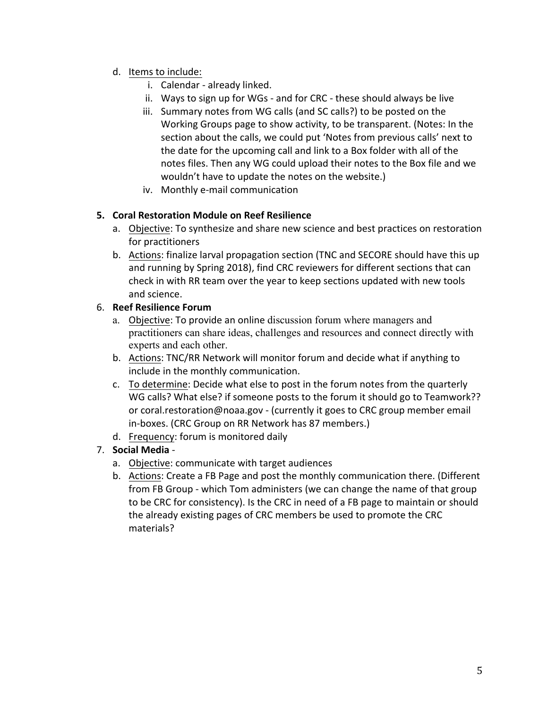- d. Items to include:
	- i. Calendar already linked.
	- ii. Ways to sign up for WGs and for CRC these should always be live
	- iii. Summary notes from WG calls (and SC calls?) to be posted on the Working Groups page to show activity, to be transparent. (Notes: In the section about the calls, we could put 'Notes from previous calls' next to the date for the upcoming call and link to a Box folder with all of the notes files. Then any WG could upload their notes to the Box file and we wouldn't have to update the notes on the website.)
	- iv. Monthly e-mail communication

## **5. Coral Restoration Module on Reef Resilience**

- a. Objective: To synthesize and share new science and best practices on restoration for practitioners
- b. Actions: finalize larval propagation section (TNC and SECORE should have this up and running by Spring 2018), find CRC reviewers for different sections that can check in with RR team over the year to keep sections updated with new tools and science.

## 6. **Reef Resilience Forum**

- a. Objective: To provide an online discussion forum where managers and practitioners can share ideas, challenges and resources and connect directly with experts and each other.
- b. Actions: TNC/RR Network will monitor forum and decide what if anything to include in the monthly communication.
- c. To determine: Decide what else to post in the forum notes from the quarterly WG calls? What else? if someone posts to the forum it should go to Teamwork?? or coral.restoration@noaa.gov - (currently it goes to CRC group member email in-boxes. (CRC Group on RR Network has 87 members.)
- d. Frequency: forum is monitored daily

## 7. **Social Media** -

- a. Objective: communicate with target audiences
- b. Actions: Create a FB Page and post the monthly communication there. (Different from FB Group - which Tom administers (we can change the name of that group to be CRC for consistency). Is the CRC in need of a FB page to maintain or should the already existing pages of CRC members be used to promote the CRC materials?